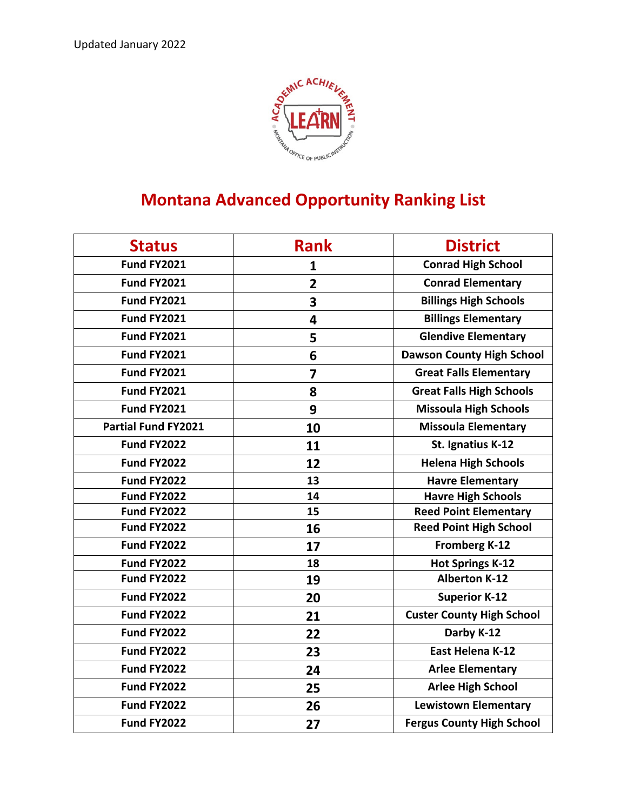

## **Montana Advanced Opportunity Ranking List**

| <b>Status</b>              | <b>Rank</b>    | <b>District</b>                  |
|----------------------------|----------------|----------------------------------|
| <b>Fund FY2021</b>         | 1              | <b>Conrad High School</b>        |
| <b>Fund FY2021</b>         | $\overline{2}$ | <b>Conrad Elementary</b>         |
| <b>Fund FY2021</b>         | 3              | <b>Billings High Schools</b>     |
| <b>Fund FY2021</b>         | 4              | <b>Billings Elementary</b>       |
| <b>Fund FY2021</b>         | 5              | <b>Glendive Elementary</b>       |
| <b>Fund FY2021</b>         | 6              | <b>Dawson County High School</b> |
| <b>Fund FY2021</b>         | 7              | <b>Great Falls Elementary</b>    |
| <b>Fund FY2021</b>         | 8              | <b>Great Falls High Schools</b>  |
| <b>Fund FY2021</b>         | 9              | <b>Missoula High Schools</b>     |
| <b>Partial Fund FY2021</b> | 10             | <b>Missoula Elementary</b>       |
| <b>Fund FY2022</b>         | 11             | St. Ignatius K-12                |
| <b>Fund FY2022</b>         | 12             | <b>Helena High Schools</b>       |
| <b>Fund FY2022</b>         | 13             | <b>Havre Elementary</b>          |
| <b>Fund FY2022</b>         | 14             | <b>Havre High Schools</b>        |
| <b>Fund FY2022</b>         | 15             | <b>Reed Point Elementary</b>     |
| <b>Fund FY2022</b>         | 16             | <b>Reed Point High School</b>    |
| <b>Fund FY2022</b>         | 17             | <b>Fromberg K-12</b>             |
| <b>Fund FY2022</b>         | 18             | <b>Hot Springs K-12</b>          |
| <b>Fund FY2022</b>         | 19             | <b>Alberton K-12</b>             |
| <b>Fund FY2022</b>         | 20             | <b>Superior K-12</b>             |
| <b>Fund FY2022</b>         | 21             | <b>Custer County High School</b> |
| <b>Fund FY2022</b>         | 22             | Darby K-12                       |
| <b>Fund FY2022</b>         | 23             | East Helena K-12                 |
| <b>Fund FY2022</b>         | 24             | <b>Arlee Elementary</b>          |
| <b>Fund FY2022</b>         | 25             | <b>Arlee High School</b>         |
| <b>Fund FY2022</b>         | 26             | <b>Lewistown Elementary</b>      |
| <b>Fund FY2022</b>         | 27             | <b>Fergus County High School</b> |